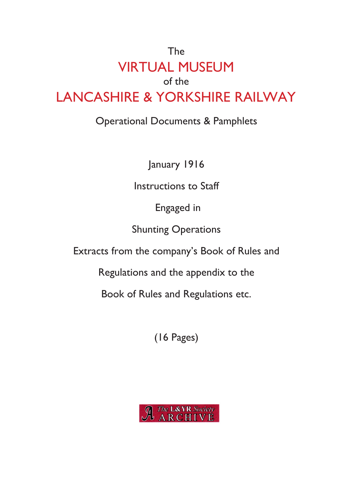# The VIRTUAL MUSEUM of the LANCASHIRE & YORKSHIRE RAILWAY

# Operational Documents & Pamphlets

January 1916

Instructions to Staff

Engaged in

Shunting Operations

Extracts from the company's Book of Rules and

Regulations and the appendix to the

Book of Rules and Regulations etc.

(16 Pages)

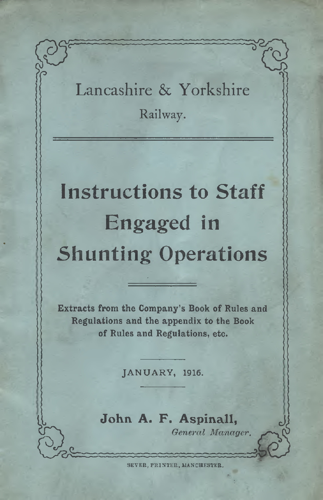# Lancashire & Yorkshire Railway.

ก์

 $\int_{0}^{1}$ 

li

 $\overline{c}$ 

2

# **Instructions to Staff Engaged in Shunting Operations**

Extracts from the Company's Book of Rules and Regulations and the appendix to the Book of Rules and Regulations, etc.

JANUARY, 1916.

**John A. P. Aspinall,** *General Manager.*<br> *General Manager.*<br> **Communication** 

SEVER, PRINTER, MANCHESTER,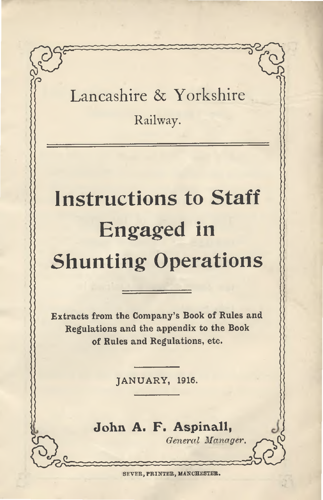Lancashire & Yorkshire

*n*

**Railway.**

# **Instructions to Staff Engaged in Shunting Operations**

Extracts from the Company's Book of Rules and Regulations and the appendix to the Book of Rules and Regulations, etc.

JANUARY, 1916.

**John A. F. Aspinall,**

*General Manager.*

SEVER, PRINTER, MANCHESTER.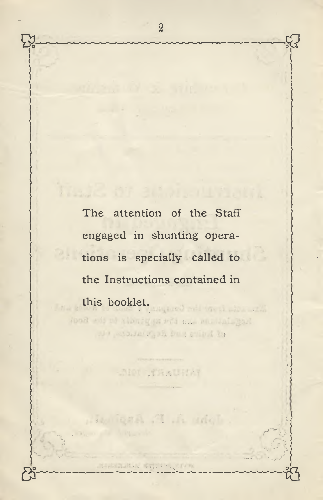The attention of the Staff engaged in shunting operations is specially called to the Instructions contained in this booklet.

Tood ads of abbrigges with one multiplier We passing the form shind to

-Net Anausta

Loha A A delot

THE ENDROLL STATISTICS.

*S*

**2**

&

*&*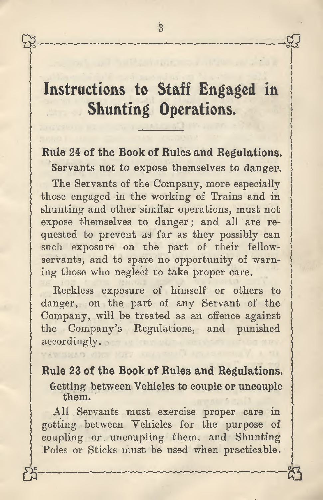# **Instructions to Staff Engaged in Shunting Operations.**

# **Rule 24 of the Book of Rules and Regulations. Servants not to expose themselves to danger.**

The Servants of the Company, more especially those engaged in the working of Trains and in shunting and other similar operations, must not expose themselves to danger; and all are requested to prevent as far as they possibly can such exposure on the part of their fellowservants, and to spare no opportunity of warning those who neglect to take proper care.

Reckless exposure of himself or others to danger, on the part of any Servant of the Company, will be treated as an offence against the Company's Regulations, and punished accordingly.

**Rule 23 of the Book of Rules and Regulations. Getting between Vehicles to couple or uncouple them.**

All Servants must exercise proper care in getting between Vehicles for the purpose of coupling or uncoupling them, and Shunting Poles or Sticks must be used when practicable.

ن<br>ت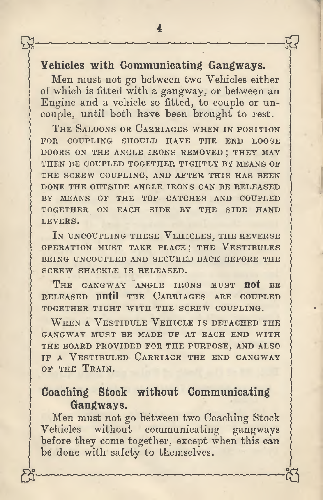#### **Vehicles with Communicating Gangways.**

Men must not go between two Vehicles either of which is fitted with a gangway, or between an Engine and a vehicle so fitted, to couple or uncouple, until both have been brought to rest.

THE SALOONS OR CARRIAGES WHEN IN POSITION FOR COUPLING SHOULD HAVE THE END LOOSE DOORS ON THE ANGLE IRONS REMOVED ; THEY MAY THEN BE COUPLED TOGETHER TIGHTLY BY MEANS OF THE SCREW COUPLING, AND AFTER THIS HAS BEEN DONE THE OUTSIDE ANGLE IRONS CAN BE RELEASED BY MEANS OF THE TOP CATCHES AND COUPLED TOGETHER ON EACH SIDE BY THE SIDE HAND LEVERS.

IN UNCOUPLING THESE VEHICLES, THE REVERSE OPERATION MUST TAKE PLACE; THE VESTIBULES BEING UNCOUPLED AND SECURED BACK BEFORE THE SCREW SHACKLE IS RELEASED.

THE GANGWAY ANGLE IRONS MUST not BE RELEASED **Until** THE CARRIAGES ARE COUPLED TOGETHER TIGHT WITH THE SCREW COUPLING.

WHEN A VESTIBULE VEHICLE IS DETACHED THE GANGWAY MUST BE MADE UP AT EACH END WITH THE BOARD PROVIDED FOR THE PURPOSE, AND ALSO IF A VESTIBULED CARRIAGE THE END GANGWAY OF THE TRAIN.

#### **Coaching Stock without Communicating Gangways.**

Men must not go between two Coaching Stock Vehicles without communicating gangways before they come together, except when this can be done with safety to themselves.

**cQ**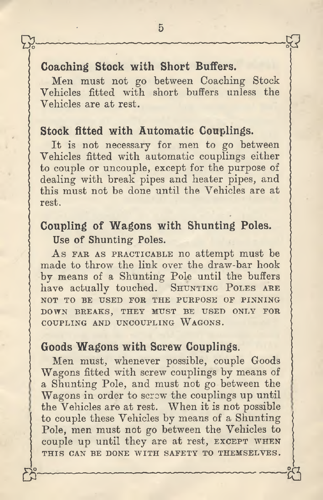#### **Coaching Stock with Short Buffers.**

Men must not go between Coaching Stock Vehicles fitted with short buffers unless the Vehicles are at rest.

#### **Stock fitted with Automatic Couplings.**

It is not necessary for men to go between Vehicles fitted with automatic couplings either to couple or uncouple, except for the purpose of dealing with break pipes and heater pipes, and this must not be done until the Vehicles are at rest.

#### **Coupling of Wagons with Shunting Poles. Use of Shunting Poles.**

As FAR AS PRACTICABLE no attempt must be made to throw the link over the draw-bar hook by means of a Shunting Pole until the buffers have actually touched. SHUNTING POLES ARE NOT TO BE USED FOR THE PURPOSE OF PINNING DOWN BREAKS, THEY MUST BE USED ONLY FOR COUPLING AND UNCOUPLING WAGONS.

#### **Goods Wagons with Screw Couplings.**

Men must, whenever possible, couple Goods Wagons fitted with screw couplings by means of a Shunting Pole, and must not go between the Wagons in order to screw the couplings up until the Vehicles are at rest. When it is not possible to couple these Vehicles by means of a Shunting Pole, men must not go between the Vehicles to couple up until they are at rest, EXCEPT WHEN THIS CAN BE DONE WITH SAFETY TO THEMSELVES. a **<sup>23</sup>** °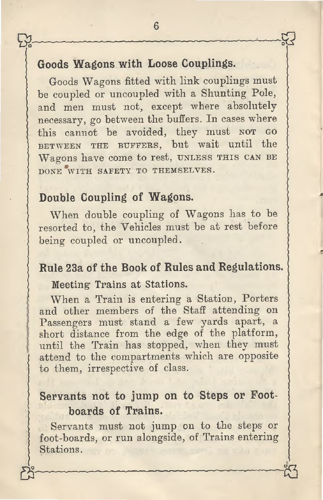### **Goods Wagons with Loose Couplings.**

Goods Wagons fitted with link couplings must be coupled or uncoupled with <sup>a</sup> Shunting Pole, and men must not, excep<sup>t</sup> where absolutely necessary, go between the buffers. In cases where this cannot be avoided, they must NOT GO BETWEEN THE BUFFERS, but wait until the Wagons have come to rest, UNLESS THIS CAN BE DONE WITH SAFETY TO THEMSELVES.

#### **Double Coupling of Wagons.**

When double coupling of Wagons has to be resorted to, the Vehicles must be at rest before being coupled or uncoupled.

## **Rule 23<sup>a</sup> of the Book of Rules and Regulations.**

**Meeting' Trains at Stations.**

When <sup>a</sup> Train is entering <sup>a</sup> Station, Porters and other members of the Staff attending on Passengers must stand <sup>a</sup> few yards apart, <sup>a</sup> short distance from the edge of the platform, until the Train has stopped, when they must attend to the compartments which are opposite to them, irrespective of class.

### **Servants not to jump on to Steps or Footboards of Trains.**

Servants must not jump on to the steps or foot-boards, or run alongside, of Trains entering Stations.

**23**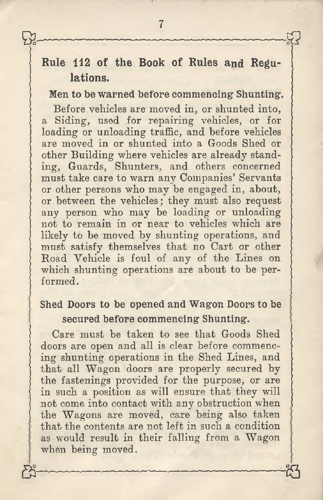# **Rule 112 of the Book of Rules and Regulations.**

**Men to be warned before eommeneing Shunting.**

Before vehicles are moved in, or shunted into, a Siding, used for repairing vehicles, or for loading or unloading traffic, and before vehicles are moved in or shunted into a Goods Shed or other Building where vehicles are already standing, Guards, Shunters, and others concerned must take care to warn any Companies' Servants or other persons who may be engaged in, about, or between the vehicles; they must also request any person who may be loading or unloading not to remain in or near to vehicles which are likely to be moved by shunting operations, and must satisfy themselves that no Cart or other Road Vehicle is foul of any of the Lines on which shunting operations are about to be performed.

### **Shed Doors to be opened and Wagon Doors to be secured before commencing Shunting.**

Care must be taken to see that Goods Shed doors are open and all is clear before commencing shunting operations in the Shed Lines, and that all Wagon doors are properly secured by the fastenings provided for the purpose, or are in such a position as will ensure that they will not come into contact with any obstruction when the Wagons are moved, care being also taken that the contents are not left in such a condition as would result in their falling from a Wagon when being moved.

S5 **\*3**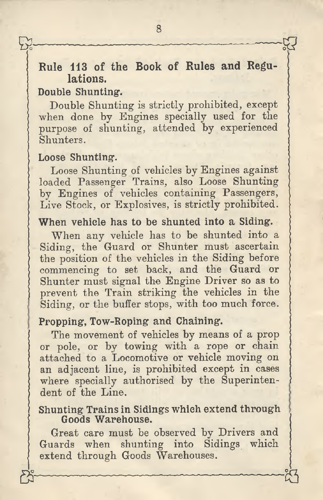### **Rule 113 of the Book of Rules and Regulations.**

#### **Double Shunting.**

Y Y

Double Shunting is strictly prohibited, except when done by Engines specially used for the purpose of shunting, attended by experienced Shunters.

#### **Loose Shunting.**

Loose Shunting of vehicles by Engines against loaded Passenger Trains, also Loose Shunting by Engines of vehicles containing Passengers, Live Stock, or Explosives, is strictly prohibited.

#### **When vehicle has to be shunted into a Siding.**

When any vehicle has to be shunted into a Siding, the Guard or Shunter must ascertain the position of the vehicles in the Siding before commencing to set back, and the Guard or Shunter must signal the Engine Driver so as to prevent the Train striking the vehicles in the Siding, or the buffer stops, with too much force.

#### **Propping, Tow-Roping and Chaining.**

The movement of vehicles by means of a prop or pole, or by towing with a rope or chain attached to a Locomotive or vehicle moving on an adjacent line, is prohibited except in cases where specially authorised by the Superintendent of the Line.

#### **Shunting Trainsin Sidings which extend through Goods Warehouse.**

Great care must be observed by Drivers and Guards when shunting into Sidings which extend through Goods Warehouses.

 $\mathring{\mathbb{Z}}$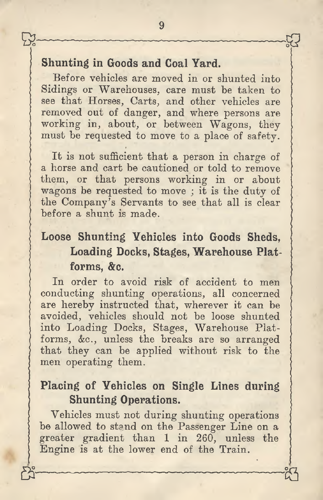#### **Shunting in Goods and Coal Yard.**

Before vehicles are moved in or shunted into Sidings or Warehouses, care must be taken to see that Horses, Carts, and other vehicles are removed out of danger, and where persons are working in, about, or between Wagons, they must be requested to move to a place of safety.

It is not sufficient that a person in charge of a horse and cart be cautioned or told to remove them, or that persons working in or about wagons be requested to move ; it is the duty of the Company's Servants to see that all is clear before a shunt is made.

# **Loose Shunting Vehicles into Goods Sheds, Loading Docks, Stages, Warehouse Platforms, &c.**

In order to avoid risk of accident to men conducting shunting operations, all concerned are hereby instructed that, wherever it can be avoided, vehicles should not be loose shunted into Loading Docks, Stages, Warehouse Platforms, &c., unless the breaks are so arranged that they can be applied without risk to the men operating them.

#### **Placing of Vehicles on Single Lines during Shunting Operations.**

Vehicles must not during shunting operations be allowed to stand on the Passenger Line on a greater gradient than 1 in 260, unless the Engine is at the lower end of the Train.

 $g_2$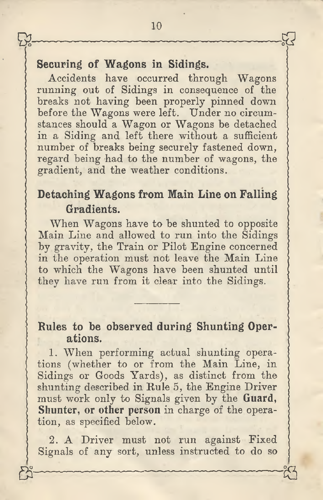#### **Securing of Wagons in Sidings.**

Accidents have occurred through Wagons running out of Sidings in consequence of the breaks not having been properly pinned down before the Wagons were left. Under no circumstances should a Wagon or Wagons be detached in a Siding and left there without a sufficient number of breaks being securely fastened down, regard being had to the number of wagons, the gradient, and the weather conditions.

# **Detaching Wagons from Main Line on Falling Gradients.**

When Wagons have to be shunted to opposite Main Line and allowed to run into the Sidings by gravity, the Train or Pilot Engine concerned in the operation must not leave the Main Line to which the Wagons have been shunted until they have run from it clear into the Sidings.

#### **Rules to be observed during Shunting Operations.**

1. When performing actual shunting operations (whether to or from the Main Line, in Sidings or Goods Yards), as distinct from the shunting described in Rule 5, the Engine Driver must work only to Signals given by the **Guard, Shunter, or other person** in charge of the operation, as specified below.

2. A Driver must not run against Fixed Signals of any sort, unless instructed to do so

\* *&* 3

59-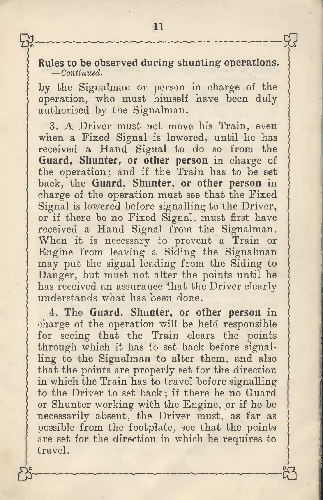**Rules to be observed during shunting operations. —***Continued***.**

by the Signalman or person in charge of the operation, who must himself have been duly authorised by the Signalman.

3. A Driver must not move his Train, even when a Fixed Signal is lowered, until he has received a Hand Signal to do so from the **Guard, Shunter, or other person** in charge of the operation; and if the Train has to be set back, the **Guard, Shunter, or other person** in charge of the operation must see that the Fixed Signal is lowered before signalling to the Driver, or if there be no Fixed Signal, must first have received <sup>a</sup> Hand Signal from the Signalman. When it is necessary to prevent <sup>a</sup> Train or Engine from leaving a Siding the Signalman may put the signal leading from the Siding to Danger, but must not alter the points until he has received an assurance that the Driver clearly understands what has been done.

4. The **Guard, Shunter, or other person** in charge of the operation will be held responsible for seeing that the Train clears the points through which it has to set back before signalling to the Signalman to alter them, and also that the points are properly set for the direction in which the Train has to travel before signalling to the Driver to set back ; if there be no Guard or Shunter working with the Engine, or if he be necessarily absent, the Driver must, as far as possible from the footplate, see that the points are set for the direction in which he requires to travel.  $8 - 18$ 

 $P_1^2$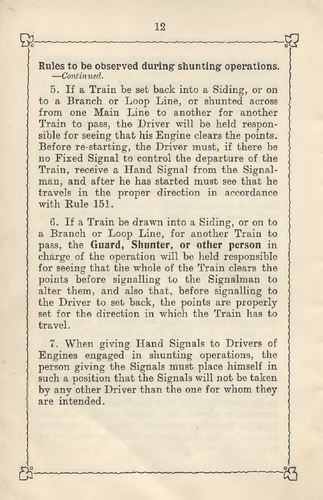**Rules to be observed during shunting operations.** —*Continued.*

5. If a Train be set back into a Siding, or on to a Branch or Loop Line, or shunted across from one Main Line to another for another Train to pass, the Driver will be held responsible for seeing that his Engine clears the points. Before re-starting, the Driver must, if there be no Fixed Signal to control the departure of the Train, receive <sup>a</sup> Hand Signal from the Signal- man, and after he has started must see that he travels in the proper direction in accordance with Rule 151.

6. If a Train be drawn into a Siding, or on to a Branch or Loop Line, for another Train to pass, the **Guard, Shunter, or other person** in charge of the operation will be held responsible for seeing that the whole of the Train clears the points before signalling to the Signalman to alter them, and also that, before signalling to the Driver to set back, the points are properly set for the direction in which the Train has to travel.

7. When giving Hand Signals to Drivers of Engines engaged in shunting operations, the person giving the Signals must place himself in such a position that the Signals will not be taken by any other Driver than the one for whom they are intended.

0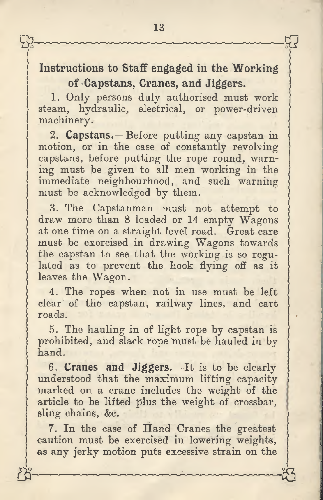### **Instructions to Staff engaged in the Working of ^Capstans, Cranes, and Jiggers.**

1. Only persons duly authorised must work steam, hydraulic, electrical, or power-driven machinery.

2. **Capstans.**—Before putting any capstan in motion, or in the case of constantly revolving capstans, before putting the rope round, warning must be given to all men working in the immediate neighbourhood, and such warning must be acknowledged by them.

3. The Capstanman must not attempt to draw more than 8 loaded or 14 empty Wagons at one time on a straight level road. Great care must be exercised in drawing Wagons towards the capstan to see that the working is so regulated as to prevent the hook flying off as it leaves the Wagon.

4. The ropes when not in use must be left clear of the capstan, railway lines, and cart roads.

5. The hauling in of light rope by capstan is prohibited, and slack rope must be hauled in by hand.

**6. Cranes and Jiggers.**—It is to be clearly understood that the maximum lifting capacity marked on a crane includes the weight of the article to be lifted plus the weight of crossbar, sling chains, &c.

7. In the case of Hand Cranes the greatest caution must be exercised in lowering weights, **as** any jerky motion puts excessive strain on the

 $\mathbb{Z}$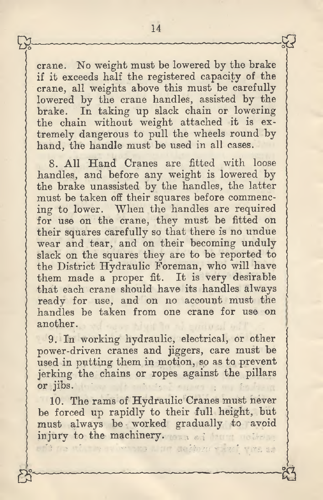crane. No weight must be lowered by the brake if it exceeds half the registered capacity of the crane, all weights above this must be carefully lowered by the crane handles, assisted by the brake. In taking up slack chain or lowering In taking up slack chain or lowering the chain without weight attached it is extremely dangerous to pull the wheels round by hand, the handle must be used in all cases.

8. All Hand Cranes are fitted with loose handles, and before any weight is lowered by the brake unassisted by the handles, the latter must be taken off their squares before commencing to lower. When the handles are required for use on the crane, they must be fitted on their squares carefully so that there is no undue wear and tear, and on their becoming unduly slack on the squares they are to be reported to the District Hydraulic Foreman, who will have them made <sup>a</sup> proper fit. It is very desirable that each crane should have its handles always ready for use, and on no account must the handles be taken from one crane for use on another.

9. In working hydraulic, electrical, or other power-driven cranes and jiggers, care must be used in putting them in motion, so as to preven<sup>t</sup> jerking the chains or ropes against the <sup>p</sup>illars or jibs.

10. The rams of Hydraulic Cranes must never be forced up rapidly to their full height, but must always be worked gradually to avoid injury to the machinery.

**B** Sammenmann Mann Sammen Mann Sa

a net defforme with vita as

しく